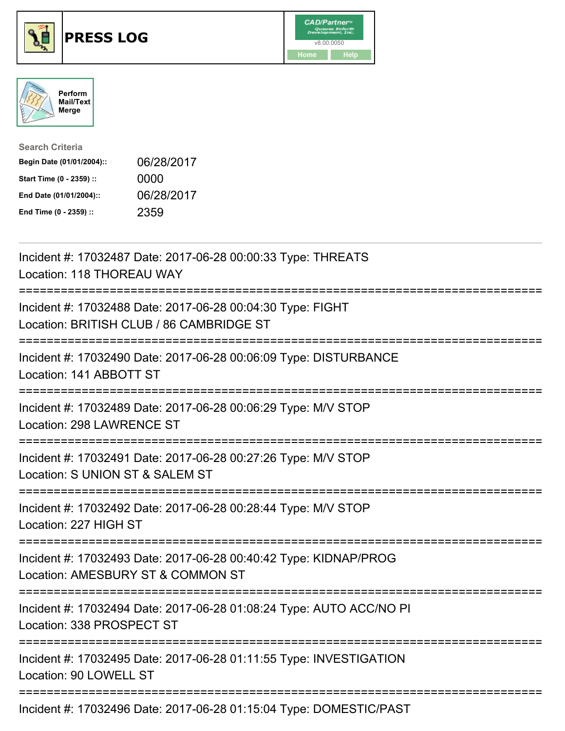





| <b>Search Criteria</b>    |            |
|---------------------------|------------|
| Begin Date (01/01/2004):: | 06/28/2017 |
| Start Time (0 - 2359) ::  | 0000       |
| End Date (01/01/2004)::   | 06/28/2017 |
| End Time (0 - 2359) ::    | 2359       |

| Incident #: 17032487 Date: 2017-06-28 00:00:33 Type: THREATS<br>Location: 118 THOREAU WAY<br>------------                    |
|------------------------------------------------------------------------------------------------------------------------------|
| Incident #: 17032488 Date: 2017-06-28 00:04:30 Type: FIGHT<br>Location: BRITISH CLUB / 86 CAMBRIDGE ST                       |
| Incident #: 17032490 Date: 2017-06-28 00:06:09 Type: DISTURBANCE<br>Location: 141 ABBOTT ST                                  |
| Incident #: 17032489 Date: 2017-06-28 00:06:29 Type: M/V STOP<br>Location: 298 LAWRENCE ST<br>==============                 |
| Incident #: 17032491 Date: 2017-06-28 00:27:26 Type: M/V STOP<br>Location: S UNION ST & SALEM ST                             |
| Incident #: 17032492 Date: 2017-06-28 00:28:44 Type: M/V STOP<br>Location: 227 HIGH ST<br>:================================= |
| Incident #: 17032493 Date: 2017-06-28 00:40:42 Type: KIDNAP/PROG<br>Location: AMESBURY ST & COMMON ST                        |
| Incident #: 17032494 Date: 2017-06-28 01:08:24 Type: AUTO ACC/NO PI<br>Location: 338 PROSPECT ST                             |
| Incident #: 17032495 Date: 2017-06-28 01:11:55 Type: INVESTIGATION<br>Location: 90 LOWELL ST                                 |
| Incident #: 17032496 Date: 2017-06-28 01:15:04 Type: DOMESTIC/PAST                                                           |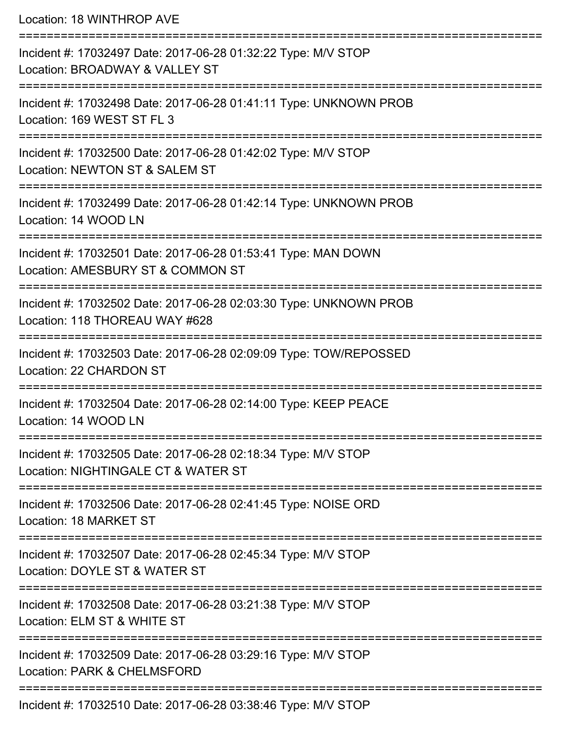Location: 18 WINTHROP AVE

=========================================================================== Incident #: 17032497 Date: 2017-06-28 01:32:22 Type: M/V STOP Location: BROADWAY & VALLEY ST =========================================================================== Incident #: 17032498 Date: 2017-06-28 01:41:11 Type: UNKNOWN PROB Location: 169 WEST ST FL 3 =========================================================================== Incident #: 17032500 Date: 2017-06-28 01:42:02 Type: M/V STOP Location: NEWTON ST & SALEM ST =========================================================================== Incident #: 17032499 Date: 2017-06-28 01:42:14 Type: UNKNOWN PROB Location: 14 WOOD LN =========================================================================== Incident #: 17032501 Date: 2017-06-28 01:53:41 Type: MAN DOWN Location: AMESBURY ST & COMMON ST =========================================================================== Incident #: 17032502 Date: 2017-06-28 02:03:30 Type: UNKNOWN PROB Location: 118 THOREAU WAY #628 =========================================================================== Incident #: 17032503 Date: 2017-06-28 02:09:09 Type: TOW/REPOSSED Location: 22 CHARDON ST =========================================================================== Incident #: 17032504 Date: 2017-06-28 02:14:00 Type: KEEP PEACE Location: 14 WOOD LN =========================================================================== Incident #: 17032505 Date: 2017-06-28 02:18:34 Type: M/V STOP Location: NIGHTINGALE CT & WATER ST =========================================================================== Incident #: 17032506 Date: 2017-06-28 02:41:45 Type: NOISE ORD Location: 18 MARKET ST =========================================================================== Incident #: 17032507 Date: 2017-06-28 02:45:34 Type: M/V STOP Location: DOYLE ST & WATER ST =========================================================================== Incident #: 17032508 Date: 2017-06-28 03:21:38 Type: M/V STOP Location: ELM ST & WHITE ST =========================================================================== Incident #: 17032509 Date: 2017-06-28 03:29:16 Type: M/V STOP Location: PARK & CHELMSFORD =========================================================================== Incident #: 17032510 Date: 2017-06-28 03:38:46 Type: M/V STOP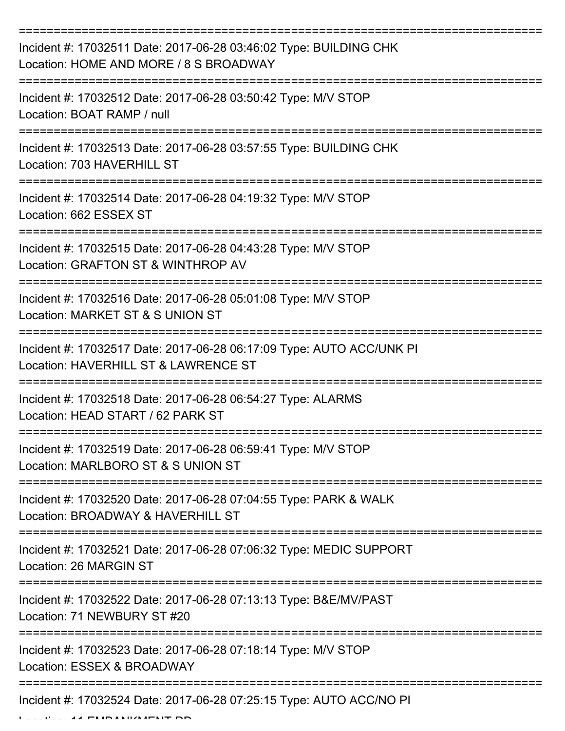| Incident #: 17032511 Date: 2017-06-28 03:46:02 Type: BUILDING CHK<br>Location: HOME AND MORE / 8 S BROADWAY  |
|--------------------------------------------------------------------------------------------------------------|
| Incident #: 17032512 Date: 2017-06-28 03:50:42 Type: M/V STOP<br>Location: BOAT RAMP / null                  |
| Incident #: 17032513 Date: 2017-06-28 03:57:55 Type: BUILDING CHK<br>Location: 703 HAVERHILL ST              |
| Incident #: 17032514 Date: 2017-06-28 04:19:32 Type: M/V STOP<br>Location: 662 ESSEX ST                      |
| Incident #: 17032515 Date: 2017-06-28 04:43:28 Type: M/V STOP<br>Location: GRAFTON ST & WINTHROP AV          |
| Incident #: 17032516 Date: 2017-06-28 05:01:08 Type: M/V STOP<br>Location: MARKET ST & S UNION ST            |
| Incident #: 17032517 Date: 2017-06-28 06:17:09 Type: AUTO ACC/UNK PI<br>Location: HAVERHILL ST & LAWRENCE ST |
| Incident #: 17032518 Date: 2017-06-28 06:54:27 Type: ALARMS<br>Location: HEAD START / 62 PARK ST             |
| Incident #: 17032519 Date: 2017-06-28 06:59:41 Type: M/V STOP<br>Location: MARLBORO ST & S UNION ST          |
| Incident #: 17032520 Date: 2017-06-28 07:04:55 Type: PARK & WALK<br>Location: BROADWAY & HAVERHILL ST        |
| Incident #: 17032521 Date: 2017-06-28 07:06:32 Type: MEDIC SUPPORT<br>Location: 26 MARGIN ST                 |
| Incident #: 17032522 Date: 2017-06-28 07:13:13 Type: B&E/MV/PAST<br>Location: 71 NEWBURY ST #20              |
| Incident #: 17032523 Date: 2017-06-28 07:18:14 Type: M/V STOP<br>Location: ESSEX & BROADWAY                  |
| Incident #: 17032524 Date: 2017-06-28 07:25:15 Type: AUTO ACC/NO PI                                          |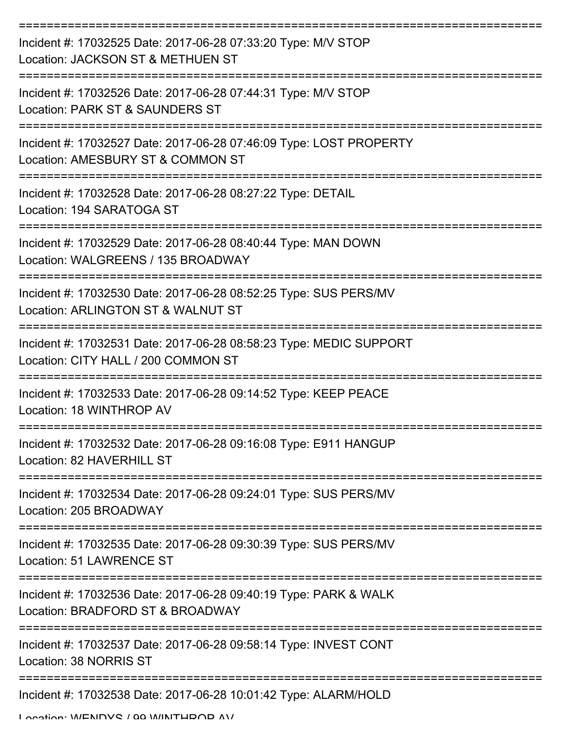| Incident #: 17032525 Date: 2017-06-28 07:33:20 Type: M/V STOP<br>Location: JACKSON ST & METHUEN ST        |
|-----------------------------------------------------------------------------------------------------------|
| Incident #: 17032526 Date: 2017-06-28 07:44:31 Type: M/V STOP<br>Location: PARK ST & SAUNDERS ST          |
| Incident #: 17032527 Date: 2017-06-28 07:46:09 Type: LOST PROPERTY<br>Location: AMESBURY ST & COMMON ST   |
| Incident #: 17032528 Date: 2017-06-28 08:27:22 Type: DETAIL<br>Location: 194 SARATOGA ST                  |
| Incident #: 17032529 Date: 2017-06-28 08:40:44 Type: MAN DOWN<br>Location: WALGREENS / 135 BROADWAY       |
| Incident #: 17032530 Date: 2017-06-28 08:52:25 Type: SUS PERS/MV<br>Location: ARLINGTON ST & WALNUT ST    |
| Incident #: 17032531 Date: 2017-06-28 08:58:23 Type: MEDIC SUPPORT<br>Location: CITY HALL / 200 COMMON ST |
| Incident #: 17032533 Date: 2017-06-28 09:14:52 Type: KEEP PEACE<br>Location: 18 WINTHROP AV               |
| Incident #: 17032532 Date: 2017-06-28 09:16:08 Type: E911 HANGUP<br>Location: 82 HAVERHILL ST             |
| Incident #: 17032534 Date: 2017-06-28 09:24:01 Type: SUS PERS/MV<br>Location: 205 BROADWAY                |
| Incident #: 17032535 Date: 2017-06-28 09:30:39 Type: SUS PERS/MV<br>Location: 51 LAWRENCE ST              |
| Incident #: 17032536 Date: 2017-06-28 09:40:19 Type: PARK & WALK<br>Location: BRADFORD ST & BROADWAY      |
| Incident #: 17032537 Date: 2017-06-28 09:58:14 Type: INVEST CONT<br>Location: 38 NORRIS ST                |
| Incident #: 17032538 Date: 2017-06-28 10:01:42 Type: ALARM/HOLD                                           |

Location: WENDYS / 00 WINTHDOD AV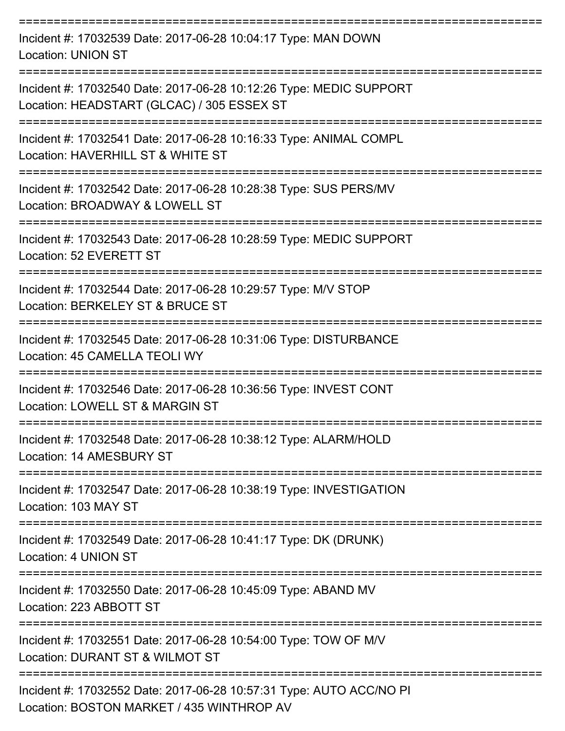| Incident #: 17032539 Date: 2017-06-28 10:04:17 Type: MAN DOWN<br><b>Location: UNION ST</b>                       |
|------------------------------------------------------------------------------------------------------------------|
| Incident #: 17032540 Date: 2017-06-28 10:12:26 Type: MEDIC SUPPORT<br>Location: HEADSTART (GLCAC) / 305 ESSEX ST |
| Incident #: 17032541 Date: 2017-06-28 10:16:33 Type: ANIMAL COMPL<br>Location: HAVERHILL ST & WHITE ST           |
| Incident #: 17032542 Date: 2017-06-28 10:28:38 Type: SUS PERS/MV<br>Location: BROADWAY & LOWELL ST               |
| Incident #: 17032543 Date: 2017-06-28 10:28:59 Type: MEDIC SUPPORT<br>Location: 52 EVERETT ST                    |
| Incident #: 17032544 Date: 2017-06-28 10:29:57 Type: M/V STOP<br>Location: BERKELEY ST & BRUCE ST                |
| Incident #: 17032545 Date: 2017-06-28 10:31:06 Type: DISTURBANCE<br>Location: 45 CAMELLA TEOLI WY                |
| Incident #: 17032546 Date: 2017-06-28 10:36:56 Type: INVEST CONT<br>Location: LOWELL ST & MARGIN ST              |
| Incident #: 17032548 Date: 2017-06-28 10:38:12 Type: ALARM/HOLD<br>Location: 14 AMESBURY ST                      |
| Incident #: 17032547 Date: 2017-06-28 10:38:19 Type: INVESTIGATION<br>Location: 103 MAY ST                       |
| Incident #: 17032549 Date: 2017-06-28 10:41:17 Type: DK (DRUNK)<br>Location: 4 UNION ST                          |
| Incident #: 17032550 Date: 2017-06-28 10:45:09 Type: ABAND MV<br>Location: 223 ABBOTT ST                         |
| Incident #: 17032551 Date: 2017-06-28 10:54:00 Type: TOW OF M/V<br>Location: DURANT ST & WILMOT ST               |
| Incident #: 17032552 Date: 2017-06-28 10:57:31 Type: AUTO ACC/NO PI<br>Location: BOSTON MARKET / 435 WINTHROP AV |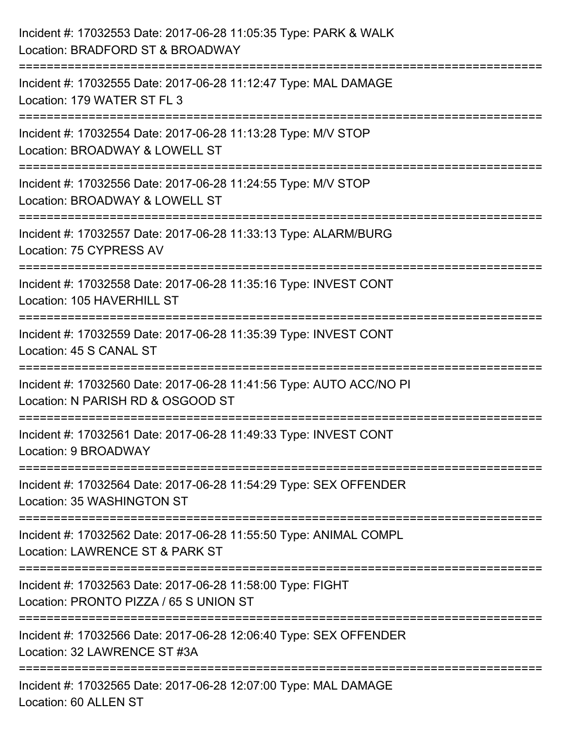| Incident #: 17032553 Date: 2017-06-28 11:05:35 Type: PARK & WALK<br>Location: BRADFORD ST & BROADWAY                    |
|-------------------------------------------------------------------------------------------------------------------------|
| Incident #: 17032555 Date: 2017-06-28 11:12:47 Type: MAL DAMAGE<br>Location: 179 WATER ST FL 3                          |
| Incident #: 17032554 Date: 2017-06-28 11:13:28 Type: M/V STOP<br>Location: BROADWAY & LOWELL ST<br>================     |
| Incident #: 17032556 Date: 2017-06-28 11:24:55 Type: M/V STOP<br>Location: BROADWAY & LOWELL ST                         |
| :========================<br>Incident #: 17032557 Date: 2017-06-28 11:33:13 Type: ALARM/BURG<br>Location: 75 CYPRESS AV |
| Incident #: 17032558 Date: 2017-06-28 11:35:16 Type: INVEST CONT<br>Location: 105 HAVERHILL ST                          |
| :===================<br>Incident #: 17032559 Date: 2017-06-28 11:35:39 Type: INVEST CONT<br>Location: 45 S CANAL ST     |
| Incident #: 17032560 Date: 2017-06-28 11:41:56 Type: AUTO ACC/NO PI<br>Location: N PARISH RD & OSGOOD ST                |
| Incident #: 17032561 Date: 2017-06-28 11:49:33 Type: INVEST CONT<br>Location: 9 BROADWAY                                |
| Incident #: 17032564 Date: 2017-06-28 11:54:29 Type: SEX OFFENDER<br>Location: 35 WASHINGTON ST                         |
| Incident #: 17032562 Date: 2017-06-28 11:55:50 Type: ANIMAL COMPL<br>Location: LAWRENCE ST & PARK ST                    |
| Incident #: 17032563 Date: 2017-06-28 11:58:00 Type: FIGHT<br>Location: PRONTO PIZZA / 65 S UNION ST                    |
| Incident #: 17032566 Date: 2017-06-28 12:06:40 Type: SEX OFFENDER<br>Location: 32 LAWRENCE ST #3A                       |
| Incident #: 17032565 Date: 2017-06-28 12:07:00 Type: MAL DAMAGE<br>Location: 60 ALLEN ST                                |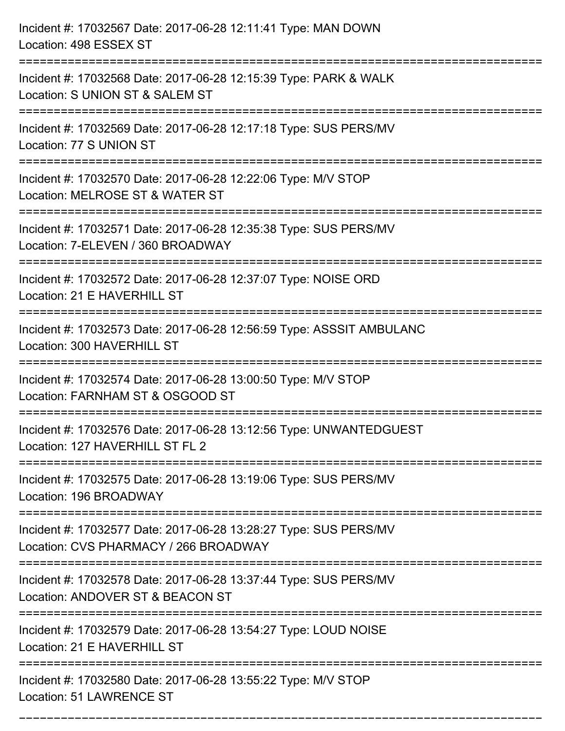| Incident #: 17032567 Date: 2017-06-28 12:11:41 Type: MAN DOWN<br>Location: 498 ESSEX ST                                        |
|--------------------------------------------------------------------------------------------------------------------------------|
| Incident #: 17032568 Date: 2017-06-28 12:15:39 Type: PARK & WALK<br>Location: S UNION ST & SALEM ST                            |
| Incident #: 17032569 Date: 2017-06-28 12:17:18 Type: SUS PERS/MV<br>Location: 77 S UNION ST<br>=============================== |
| Incident #: 17032570 Date: 2017-06-28 12:22:06 Type: M/V STOP<br>Location: MELROSE ST & WATER ST                               |
| Incident #: 17032571 Date: 2017-06-28 12:35:38 Type: SUS PERS/MV<br>Location: 7-ELEVEN / 360 BROADWAY                          |
| Incident #: 17032572 Date: 2017-06-28 12:37:07 Type: NOISE ORD<br>Location: 21 E HAVERHILL ST                                  |
| Incident #: 17032573 Date: 2017-06-28 12:56:59 Type: ASSSIT AMBULANC<br>Location: 300 HAVERHILL ST                             |
| Incident #: 17032574 Date: 2017-06-28 13:00:50 Type: M/V STOP<br>Location: FARNHAM ST & OSGOOD ST                              |
| Incident #: 17032576 Date: 2017-06-28 13:12:56 Type: UNWANTEDGUEST<br>Location: 127 HAVERHILL ST FL 2                          |
| Incident #: 17032575 Date: 2017-06-28 13:19:06 Type: SUS PERS/MV<br>Location: 196 BROADWAY                                     |
| Incident #: 17032577 Date: 2017-06-28 13:28:27 Type: SUS PERS/MV<br>Location: CVS PHARMACY / 266 BROADWAY                      |
| Incident #: 17032578 Date: 2017-06-28 13:37:44 Type: SUS PERS/MV<br>Location: ANDOVER ST & BEACON ST                           |
| Incident #: 17032579 Date: 2017-06-28 13:54:27 Type: LOUD NOISE<br>Location: 21 E HAVERHILL ST                                 |
| Incident #: 17032580 Date: 2017-06-28 13:55:22 Type: M/V STOP<br>Location: 51 LAWRENCE ST                                      |

===========================================================================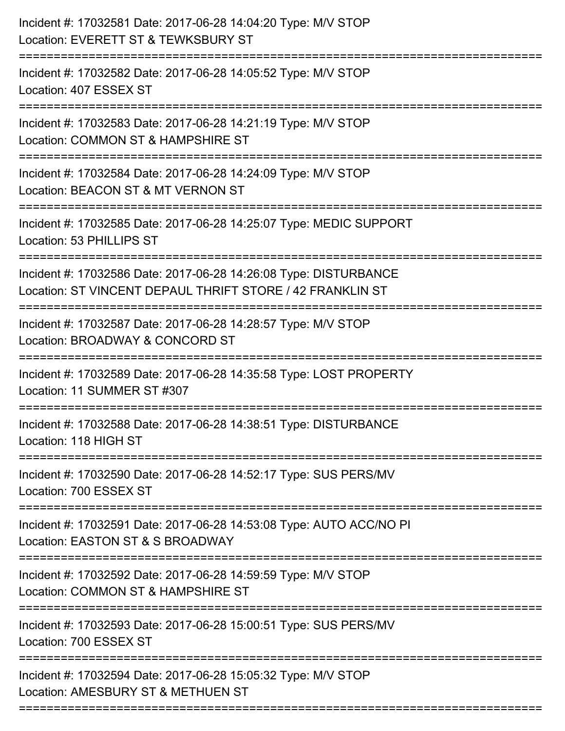| Incident #: 17032581 Date: 2017-06-28 14:04:20 Type: M/V STOP<br>Location: EVERETT ST & TEWKSBURY ST<br>===================    |
|--------------------------------------------------------------------------------------------------------------------------------|
| Incident #: 17032582 Date: 2017-06-28 14:05:52 Type: M/V STOP<br>Location: 407 ESSEX ST                                        |
| Incident #: 17032583 Date: 2017-06-28 14:21:19 Type: M/V STOP<br>Location: COMMON ST & HAMPSHIRE ST<br>======================  |
| Incident #: 17032584 Date: 2017-06-28 14:24:09 Type: M/V STOP<br>Location: BEACON ST & MT VERNON ST<br>======================= |
| Incident #: 17032585 Date: 2017-06-28 14:25:07 Type: MEDIC SUPPORT<br>Location: 53 PHILLIPS ST                                 |
| Incident #: 17032586 Date: 2017-06-28 14:26:08 Type: DISTURBANCE<br>Location: ST VINCENT DEPAUL THRIFT STORE / 42 FRANKLIN ST  |
| Incident #: 17032587 Date: 2017-06-28 14:28:57 Type: M/V STOP<br>Location: BROADWAY & CONCORD ST                               |
| Incident #: 17032589 Date: 2017-06-28 14:35:58 Type: LOST PROPERTY<br>Location: 11 SUMMER ST #307                              |
| Incident #: 17032588 Date: 2017-06-28 14:38:51 Type: DISTURBANCE<br>Location: 118 HIGH ST                                      |
| Incident #: 17032590 Date: 2017-06-28 14:52:17 Type: SUS PERS/MV<br>Location: 700 ESSEX ST                                     |
| Incident #: 17032591 Date: 2017-06-28 14:53:08 Type: AUTO ACC/NO PI<br>Location: EASTON ST & S BROADWAY                        |
| Incident #: 17032592 Date: 2017-06-28 14:59:59 Type: M/V STOP<br>Location: COMMON ST & HAMPSHIRE ST                            |
| Incident #: 17032593 Date: 2017-06-28 15:00:51 Type: SUS PERS/MV<br>Location: 700 ESSEX ST                                     |
| Incident #: 17032594 Date: 2017-06-28 15:05:32 Type: M/V STOP<br>Location: AMESBURY ST & METHUEN ST                            |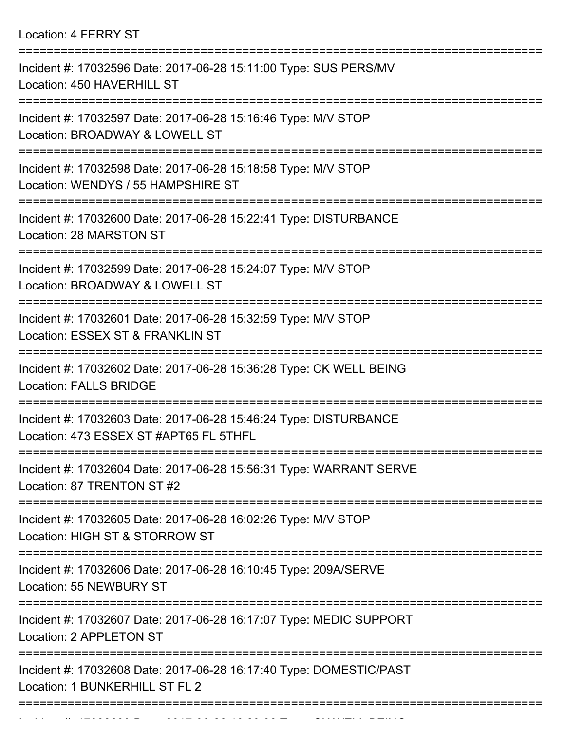Location: 4 FERRY ST

| Incident #: 17032596 Date: 2017-06-28 15:11:00 Type: SUS PERS/MV<br>Location: 450 HAVERHILL ST             |
|------------------------------------------------------------------------------------------------------------|
| Incident #: 17032597 Date: 2017-06-28 15:16:46 Type: M/V STOP<br>Location: BROADWAY & LOWELL ST            |
| Incident #: 17032598 Date: 2017-06-28 15:18:58 Type: M/V STOP<br>Location: WENDYS / 55 HAMPSHIRE ST        |
| Incident #: 17032600 Date: 2017-06-28 15:22:41 Type: DISTURBANCE<br>Location: 28 MARSTON ST                |
| Incident #: 17032599 Date: 2017-06-28 15:24:07 Type: M/V STOP<br>Location: BROADWAY & LOWELL ST            |
| Incident #: 17032601 Date: 2017-06-28 15:32:59 Type: M/V STOP<br>Location: ESSEX ST & FRANKLIN ST          |
| Incident #: 17032602 Date: 2017-06-28 15:36:28 Type: CK WELL BEING<br><b>Location: FALLS BRIDGE</b>        |
| Incident #: 17032603 Date: 2017-06-28 15:46:24 Type: DISTURBANCE<br>Location: 473 ESSEX ST #APT65 FL 5THFL |
| Incident #: 17032604 Date: 2017-06-28 15:56:31 Type: WARRANT SERVE<br>Location: 87 TRENTON ST #2           |
| Incident #: 17032605 Date: 2017-06-28 16:02:26 Type: M/V STOP<br>Location: HIGH ST & STORROW ST            |
| Incident #: 17032606 Date: 2017-06-28 16:10:45 Type: 209A/SERVE<br>Location: 55 NEWBURY ST                 |
| Incident #: 17032607 Date: 2017-06-28 16:17:07 Type: MEDIC SUPPORT<br>Location: 2 APPLETON ST              |
| Incident #: 17032608 Date: 2017-06-28 16:17:40 Type: DOMESTIC/PAST<br>Location: 1 BUNKERHILL ST FL 2       |
|                                                                                                            |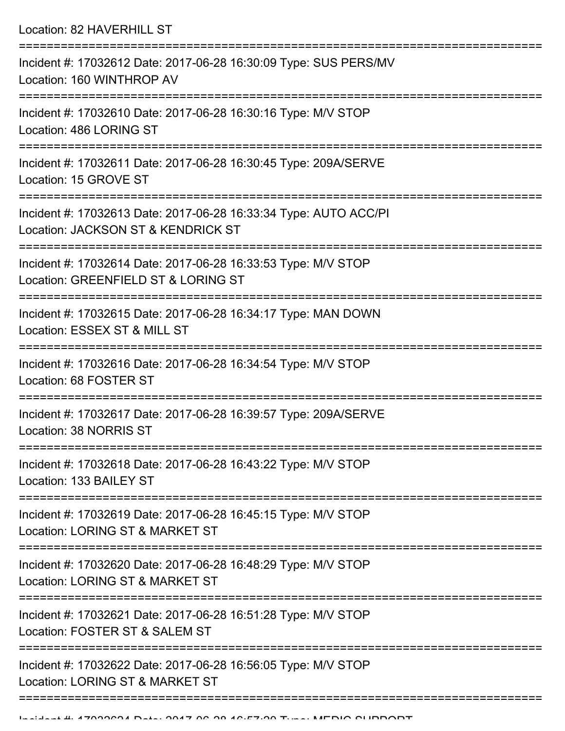Location: 82 HAVERHILL ST

| Incident #: 17032612 Date: 2017-06-28 16:30:09 Type: SUS PERS/MV<br>Location: 160 WINTHROP AV          |
|--------------------------------------------------------------------------------------------------------|
| Incident #: 17032610 Date: 2017-06-28 16:30:16 Type: M/V STOP<br>Location: 486 LORING ST               |
| Incident #: 17032611 Date: 2017-06-28 16:30:45 Type: 209A/SERVE<br>Location: 15 GROVE ST               |
| Incident #: 17032613 Date: 2017-06-28 16:33:34 Type: AUTO ACC/PI<br>Location: JACKSON ST & KENDRICK ST |
| Incident #: 17032614 Date: 2017-06-28 16:33:53 Type: M/V STOP<br>Location: GREENFIELD ST & LORING ST   |
| Incident #: 17032615 Date: 2017-06-28 16:34:17 Type: MAN DOWN<br>Location: ESSEX ST & MILL ST          |
| Incident #: 17032616 Date: 2017-06-28 16:34:54 Type: M/V STOP<br>Location: 68 FOSTER ST                |
| Incident #: 17032617 Date: 2017-06-28 16:39:57 Type: 209A/SERVE<br>Location: 38 NORRIS ST              |
| Incident #: 17032618 Date: 2017-06-28 16:43:22 Type: M/V STOP<br>Location: 133 BAILEY ST               |
| Incident #: 17032619 Date: 2017-06-28 16:45:15 Type: M/V STOP<br>Location: LORING ST & MARKET ST       |
| Incident #: 17032620 Date: 2017-06-28 16:48:29 Type: M/V STOP<br>Location: LORING ST & MARKET ST       |
| Incident #: 17032621 Date: 2017-06-28 16:51:28 Type: M/V STOP<br>Location: FOSTER ST & SALEM ST        |
| Incident #: 17032622 Date: 2017-06-28 16:56:05 Type: M/V STOP<br>Location: LORING ST & MARKET ST       |
|                                                                                                        |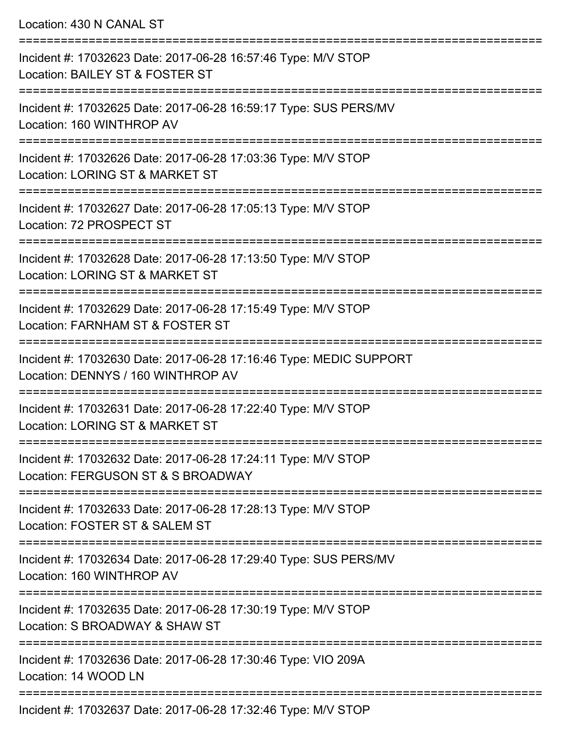Location: 430 N CANAL ST

| Incident #: 17032623 Date: 2017-06-28 16:57:46 Type: M/V STOP<br>Location: BAILEY ST & FOSTER ST                |
|-----------------------------------------------------------------------------------------------------------------|
| Incident #: 17032625 Date: 2017-06-28 16:59:17 Type: SUS PERS/MV<br>Location: 160 WINTHROP AV<br>============== |
| Incident #: 17032626 Date: 2017-06-28 17:03:36 Type: M/V STOP<br>Location: LORING ST & MARKET ST                |
| Incident #: 17032627 Date: 2017-06-28 17:05:13 Type: M/V STOP<br>Location: 72 PROSPECT ST                       |
| Incident #: 17032628 Date: 2017-06-28 17:13:50 Type: M/V STOP<br>Location: LORING ST & MARKET ST                |
| Incident #: 17032629 Date: 2017-06-28 17:15:49 Type: M/V STOP<br>Location: FARNHAM ST & FOSTER ST               |
| Incident #: 17032630 Date: 2017-06-28 17:16:46 Type: MEDIC SUPPORT<br>Location: DENNYS / 160 WINTHROP AV        |
| Incident #: 17032631 Date: 2017-06-28 17:22:40 Type: M/V STOP<br>Location: LORING ST & MARKET ST                |
| Incident #: 17032632 Date: 2017-06-28 17:24:11 Type: M/V STOP<br>Location: FERGUSON ST & S BROADWAY             |
| Incident #: 17032633 Date: 2017-06-28 17:28:13 Type: M/V STOP<br>Location: FOSTER ST & SALEM ST                 |
| Incident #: 17032634 Date: 2017-06-28 17:29:40 Type: SUS PERS/MV<br>Location: 160 WINTHROP AV                   |
| Incident #: 17032635 Date: 2017-06-28 17:30:19 Type: M/V STOP<br>Location: S BROADWAY & SHAW ST                 |
| Incident #: 17032636 Date: 2017-06-28 17:30:46 Type: VIO 209A<br>Location: 14 WOOD LN                           |
|                                                                                                                 |

Incident #: 17032637 Date: 2017-06-28 17:32:46 Type: M/V STOP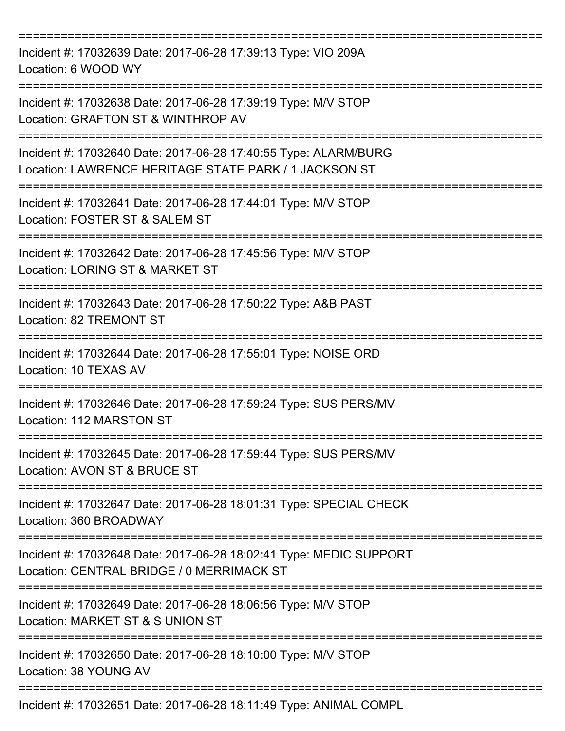| Incident #: 17032639 Date: 2017-06-28 17:39:13 Type: VIO 209A<br>Location: 6 WOOD WY                                     |
|--------------------------------------------------------------------------------------------------------------------------|
| Incident #: 17032638 Date: 2017-06-28 17:39:19 Type: M/V STOP<br>Location: GRAFTON ST & WINTHROP AV                      |
| Incident #: 17032640 Date: 2017-06-28 17:40:55 Type: ALARM/BURG<br>Location: LAWRENCE HERITAGE STATE PARK / 1 JACKSON ST |
| Incident #: 17032641 Date: 2017-06-28 17:44:01 Type: M/V STOP<br>Location: FOSTER ST & SALEM ST                          |
| Incident #: 17032642 Date: 2017-06-28 17:45:56 Type: M/V STOP<br>Location: LORING ST & MARKET ST                         |
| Incident #: 17032643 Date: 2017-06-28 17:50:22 Type: A&B PAST<br>Location: 82 TREMONT ST                                 |
| Incident #: 17032644 Date: 2017-06-28 17:55:01 Type: NOISE ORD<br>Location: 10 TEXAS AV                                  |
| Incident #: 17032646 Date: 2017-06-28 17:59:24 Type: SUS PERS/MV<br>Location: 112 MARSTON ST                             |
| Incident #: 17032645 Date: 2017-06-28 17:59:44 Type: SUS PERS/MV<br>Location: AVON ST & BRUCE ST                         |
| Incident #: 17032647 Date: 2017-06-28 18:01:31 Type: SPECIAL CHECK<br>Location: 360 BROADWAY                             |
| Incident #: 17032648 Date: 2017-06-28 18:02:41 Type: MEDIC SUPPORT<br>Location: CENTRAL BRIDGE / 0 MERRIMACK ST          |
| Incident #: 17032649 Date: 2017-06-28 18:06:56 Type: M/V STOP<br>Location: MARKET ST & S UNION ST                        |
| Incident #: 17032650 Date: 2017-06-28 18:10:00 Type: M/V STOP<br>Location: 38 YOUNG AV                                   |
| Incident #: 17032651 Date: 2017-06-28 18:11:49 Type: ANIMAL COMPL                                                        |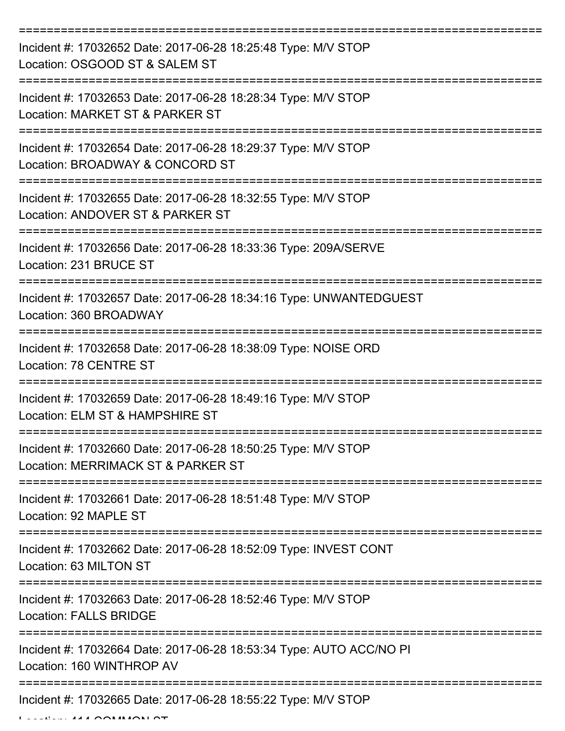| Incident #: 17032652 Date: 2017-06-28 18:25:48 Type: M/V STOP<br>Location: OSGOOD ST & SALEM ST                 |
|-----------------------------------------------------------------------------------------------------------------|
| Incident #: 17032653 Date: 2017-06-28 18:28:34 Type: M/V STOP<br>Location: MARKET ST & PARKER ST                |
| Incident #: 17032654 Date: 2017-06-28 18:29:37 Type: M/V STOP<br>Location: BROADWAY & CONCORD ST                |
| Incident #: 17032655 Date: 2017-06-28 18:32:55 Type: M/V STOP<br>Location: ANDOVER ST & PARKER ST               |
| Incident #: 17032656 Date: 2017-06-28 18:33:36 Type: 209A/SERVE<br>Location: 231 BRUCE ST                       |
| Incident #: 17032657 Date: 2017-06-28 18:34:16 Type: UNWANTEDGUEST<br>Location: 360 BROADWAY                    |
| Incident #: 17032658 Date: 2017-06-28 18:38:09 Type: NOISE ORD<br>Location: 78 CENTRE ST                        |
| ===========<br>Incident #: 17032659 Date: 2017-06-28 18:49:16 Type: M/V STOP<br>Location: ELM ST & HAMPSHIRE ST |
| Incident #: 17032660 Date: 2017-06-28 18:50:25 Type: M/V STOP<br>Location: MERRIMACK ST & PARKER ST             |
| Incident #: 17032661 Date: 2017-06-28 18:51:48 Type: M/V STOP<br>Location: 92 MAPLE ST                          |
| Incident #: 17032662 Date: 2017-06-28 18:52:09 Type: INVEST CONT<br>Location: 63 MILTON ST                      |
| Incident #: 17032663 Date: 2017-06-28 18:52:46 Type: M/V STOP<br><b>Location: FALLS BRIDGE</b>                  |
| Incident #: 17032664 Date: 2017-06-28 18:53:34 Type: AUTO ACC/NO PI<br>Location: 160 WINTHROP AV                |
| Incident #: 17032665 Date: 2017-06-28 18:55:22 Type: M/V STOP                                                   |

 $L = L L L L L L A A A O A M A O A L C T$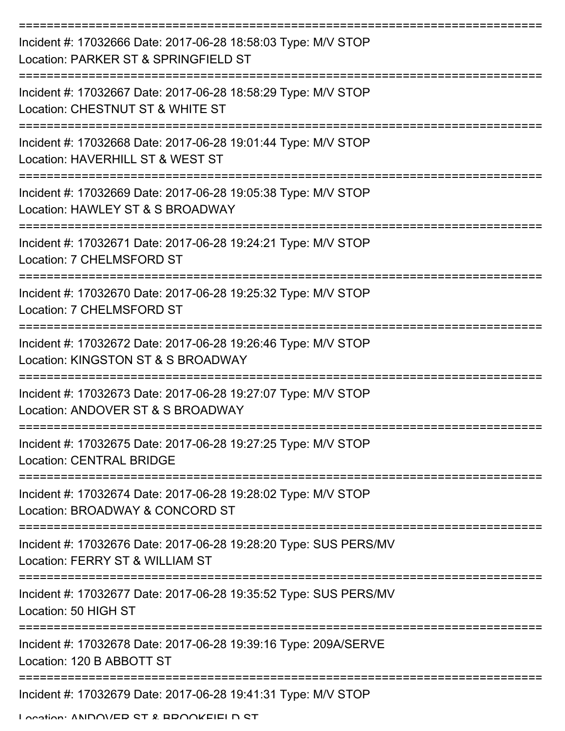| Incident #: 17032666 Date: 2017-06-28 18:58:03 Type: M/V STOP<br>Location: PARKER ST & SPRINGFIELD ST                 |
|-----------------------------------------------------------------------------------------------------------------------|
| Incident #: 17032667 Date: 2017-06-28 18:58:29 Type: M/V STOP<br>Location: CHESTNUT ST & WHITE ST                     |
| Incident #: 17032668 Date: 2017-06-28 19:01:44 Type: M/V STOP<br>Location: HAVERHILL ST & WEST ST                     |
| Incident #: 17032669 Date: 2017-06-28 19:05:38 Type: M/V STOP<br>Location: HAWLEY ST & S BROADWAY                     |
| Incident #: 17032671 Date: 2017-06-28 19:24:21 Type: M/V STOP<br>Location: 7 CHELMSFORD ST                            |
| Incident #: 17032670 Date: 2017-06-28 19:25:32 Type: M/V STOP<br>Location: 7 CHELMSFORD ST                            |
| ==============<br>Incident #: 17032672 Date: 2017-06-28 19:26:46 Type: M/V STOP<br>Location: KINGSTON ST & S BROADWAY |
| Incident #: 17032673 Date: 2017-06-28 19:27:07 Type: M/V STOP<br>Location: ANDOVER ST & S BROADWAY                    |
| Incident #: 17032675 Date: 2017-06-28 19:27:25 Type: M/V STOP<br><b>Location: CENTRAL BRIDGE</b>                      |
| Incident #: 17032674 Date: 2017-06-28 19:28:02 Type: M/V STOP<br>Location: BROADWAY & CONCORD ST                      |
| Incident #: 17032676 Date: 2017-06-28 19:28:20 Type: SUS PERS/MV<br>Location: FERRY ST & WILLIAM ST                   |
| Incident #: 17032677 Date: 2017-06-28 19:35:52 Type: SUS PERS/MV<br>Location: 50 HIGH ST                              |
| Incident #: 17032678 Date: 2017-06-28 19:39:16 Type: 209A/SERVE<br>Location: 120 B ABBOTT ST                          |
| Incident #: 17032679 Date: 2017-06-28 19:41:31 Type: M/V STOP                                                         |

Location: ANDOVER ST & BROOKFIELD ST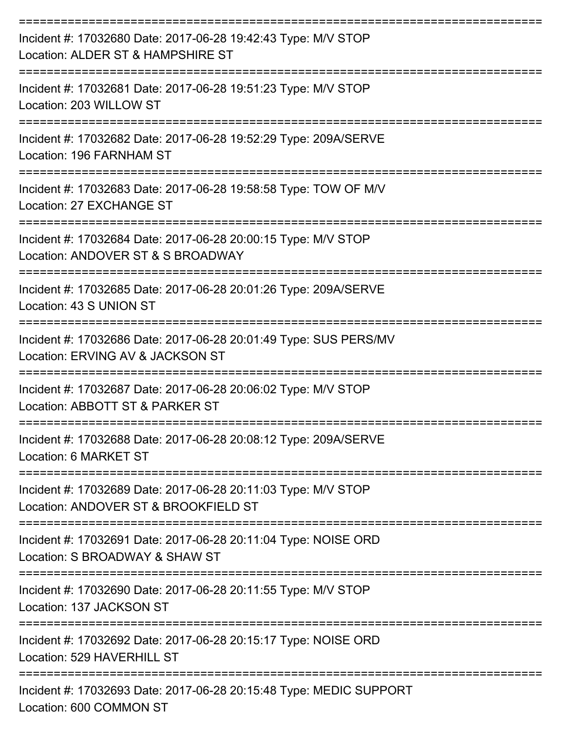| Incident #: 17032680 Date: 2017-06-28 19:42:43 Type: M/V STOP<br>Location: ALDER ST & HAMPSHIRE ST                        |
|---------------------------------------------------------------------------------------------------------------------------|
| Incident #: 17032681 Date: 2017-06-28 19:51:23 Type: M/V STOP<br>Location: 203 WILLOW ST                                  |
| Incident #: 17032682 Date: 2017-06-28 19:52:29 Type: 209A/SERVE<br>Location: 196 FARNHAM ST                               |
| Incident #: 17032683 Date: 2017-06-28 19:58:58 Type: TOW OF M/V<br>Location: 27 EXCHANGE ST                               |
| Incident #: 17032684 Date: 2017-06-28 20:00:15 Type: M/V STOP<br>Location: ANDOVER ST & S BROADWAY                        |
| Incident #: 17032685 Date: 2017-06-28 20:01:26 Type: 209A/SERVE<br>Location: 43 S UNION ST                                |
| -----------------<br>Incident #: 17032686 Date: 2017-06-28 20:01:49 Type: SUS PERS/MV<br>Location: ERVING AV & JACKSON ST |
| Incident #: 17032687 Date: 2017-06-28 20:06:02 Type: M/V STOP<br>Location: ABBOTT ST & PARKER ST                          |
| Incident #: 17032688 Date: 2017-06-28 20:08:12 Type: 209A/SERVE<br>Location: 6 MARKET ST                                  |
| Incident #: 17032689 Date: 2017-06-28 20:11:03 Type: M/V STOP<br>Location: ANDOVER ST & BROOKFIELD ST                     |
| Incident #: 17032691 Date: 2017-06-28 20:11:04 Type: NOISE ORD<br>Location: S BROADWAY & SHAW ST                          |
| Incident #: 17032690 Date: 2017-06-28 20:11:55 Type: M/V STOP<br>Location: 137 JACKSON ST                                 |
| Incident #: 17032692 Date: 2017-06-28 20:15:17 Type: NOISE ORD<br>Location: 529 HAVERHILL ST                              |
| Incident #: 17032693 Date: 2017-06-28 20:15:48 Type: MEDIC SUPPORT<br>Location: 600 COMMON ST                             |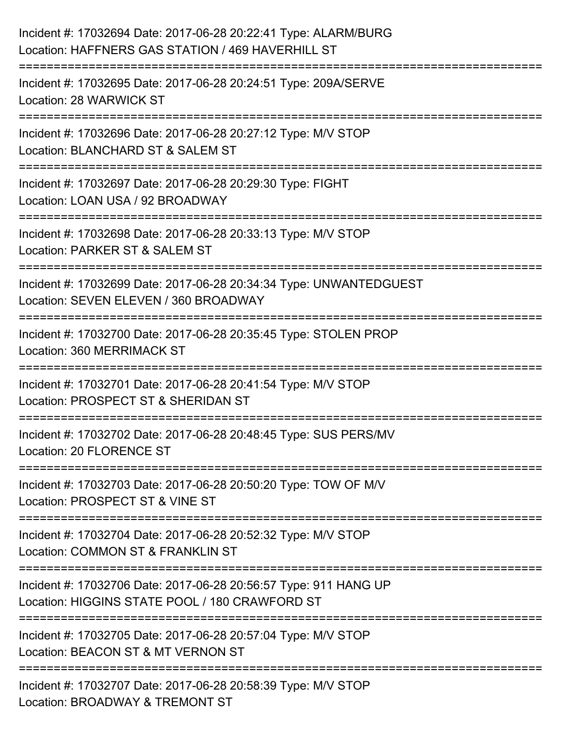| Incident #: 17032694 Date: 2017-06-28 20:22:41 Type: ALARM/BURG<br>Location: HAFFNERS GAS STATION / 469 HAVERHILL ST     |
|--------------------------------------------------------------------------------------------------------------------------|
| Incident #: 17032695 Date: 2017-06-28 20:24:51 Type: 209A/SERVE<br>Location: 28 WARWICK ST                               |
| Incident #: 17032696 Date: 2017-06-28 20:27:12 Type: M/V STOP<br>Location: BLANCHARD ST & SALEM ST                       |
| Incident #: 17032697 Date: 2017-06-28 20:29:30 Type: FIGHT<br>Location: LOAN USA / 92 BROADWAY<br>:===================== |
| Incident #: 17032698 Date: 2017-06-28 20:33:13 Type: M/V STOP<br>Location: PARKER ST & SALEM ST                          |
| Incident #: 17032699 Date: 2017-06-28 20:34:34 Type: UNWANTEDGUEST<br>Location: SEVEN ELEVEN / 360 BROADWAY              |
| Incident #: 17032700 Date: 2017-06-28 20:35:45 Type: STOLEN PROP<br>Location: 360 MERRIMACK ST                           |
| Incident #: 17032701 Date: 2017-06-28 20:41:54 Type: M/V STOP<br>Location: PROSPECT ST & SHERIDAN ST                     |
| Incident #: 17032702 Date: 2017-06-28 20:48:45 Type: SUS PERS/MV<br>Location: 20 FLORENCE ST                             |
| Incident #: 17032703 Date: 2017-06-28 20:50:20 Type: TOW OF M/V<br>Location: PROSPECT ST & VINE ST                       |
| Incident #: 17032704 Date: 2017-06-28 20:52:32 Type: M/V STOP<br>Location: COMMON ST & FRANKLIN ST                       |
| Incident #: 17032706 Date: 2017-06-28 20:56:57 Type: 911 HANG UP<br>Location: HIGGINS STATE POOL / 180 CRAWFORD ST       |
| Incident #: 17032705 Date: 2017-06-28 20:57:04 Type: M/V STOP<br>Location: BEACON ST & MT VERNON ST                      |
| Incident #: 17032707 Date: 2017-06-28 20:58:39 Type: M/V STOP<br>Location: BROADWAY & TREMONT ST                         |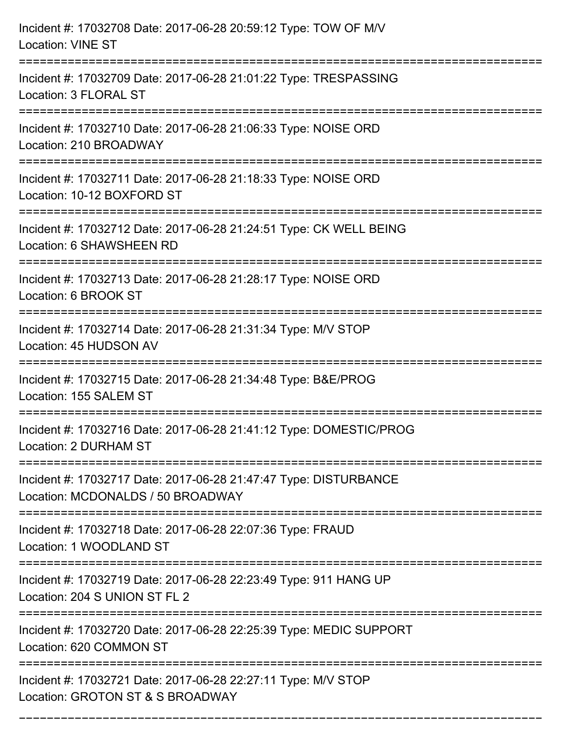| Incident #: 17032708 Date: 2017-06-28 20:59:12 Type: TOW OF M/V<br><b>Location: VINE ST</b>                          |
|----------------------------------------------------------------------------------------------------------------------|
| Incident #: 17032709 Date: 2017-06-28 21:01:22 Type: TRESPASSING<br>Location: 3 FLORAL ST                            |
| Incident #: 17032710 Date: 2017-06-28 21:06:33 Type: NOISE ORD<br>Location: 210 BROADWAY<br>:======================= |
| Incident #: 17032711 Date: 2017-06-28 21:18:33 Type: NOISE ORD<br>Location: 10-12 BOXFORD ST                         |
| Incident #: 17032712 Date: 2017-06-28 21:24:51 Type: CK WELL BEING<br>Location: 6 SHAWSHEEN RD                       |
| Incident #: 17032713 Date: 2017-06-28 21:28:17 Type: NOISE ORD<br>Location: 6 BROOK ST                               |
| Incident #: 17032714 Date: 2017-06-28 21:31:34 Type: M/V STOP<br>Location: 45 HUDSON AV                              |
| Incident #: 17032715 Date: 2017-06-28 21:34:48 Type: B&E/PROG<br>Location: 155 SALEM ST                              |
| Incident #: 17032716 Date: 2017-06-28 21:41:12 Type: DOMESTIC/PROG<br>Location: 2 DURHAM ST<br>================      |
| Incident #: 17032717 Date: 2017-06-28 21:47:47 Type: DISTURBANCE<br>Location: MCDONALDS / 50 BROADWAY                |
| Incident #: 17032718 Date: 2017-06-28 22:07:36 Type: FRAUD<br>Location: 1 WOODLAND ST                                |
| Incident #: 17032719 Date: 2017-06-28 22:23:49 Type: 911 HANG UP<br>Location: 204 S UNION ST FL 2                    |
| Incident #: 17032720 Date: 2017-06-28 22:25:39 Type: MEDIC SUPPORT<br>Location: 620 COMMON ST                        |
| Incident #: 17032721 Date: 2017-06-28 22:27:11 Type: M/V STOP<br>Location: GROTON ST & S BROADWAY                    |

===========================================================================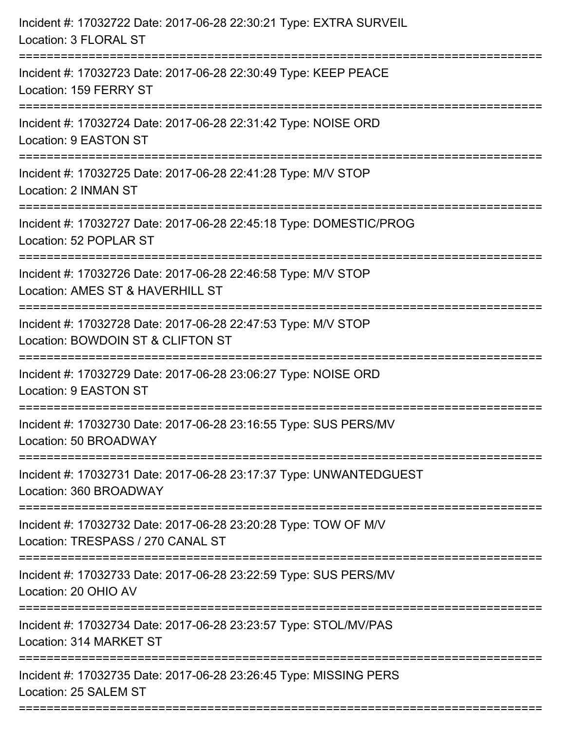| Incident #: 17032722 Date: 2017-06-28 22:30:21 Type: EXTRA SURVEIL<br>Location: 3 FLORAL ST                                               |
|-------------------------------------------------------------------------------------------------------------------------------------------|
| Incident #: 17032723 Date: 2017-06-28 22:30:49 Type: KEEP PEACE<br>Location: 159 FERRY ST                                                 |
| Incident #: 17032724 Date: 2017-06-28 22:31:42 Type: NOISE ORD<br><b>Location: 9 EASTON ST</b><br>.=============================          |
| Incident #: 17032725 Date: 2017-06-28 22:41:28 Type: M/V STOP<br>Location: 2 INMAN ST<br>.-----------------------------------             |
| Incident #: 17032727 Date: 2017-06-28 22:45:18 Type: DOMESTIC/PROG<br>Location: 52 POPLAR ST                                              |
| Incident #: 17032726 Date: 2017-06-28 22:46:58 Type: M/V STOP<br>Location: AMES ST & HAVERHILL ST<br>:=================================== |
| Incident #: 17032728 Date: 2017-06-28 22:47:53 Type: M/V STOP<br>Location: BOWDOIN ST & CLIFTON ST                                        |
| Incident #: 17032729 Date: 2017-06-28 23:06:27 Type: NOISE ORD<br>Location: 9 EASTON ST                                                   |
| Incident #: 17032730 Date: 2017-06-28 23:16:55 Type: SUS PERS/MV<br>Location: 50 BROADWAY                                                 |
| Incident #: 17032731 Date: 2017-06-28 23:17:37 Type: UNWANTEDGUEST<br>Location: 360 BROADWAY                                              |
| Incident #: 17032732 Date: 2017-06-28 23:20:28 Type: TOW OF M/V<br>Location: TRESPASS / 270 CANAL ST                                      |
| Incident #: 17032733 Date: 2017-06-28 23:22:59 Type: SUS PERS/MV<br>Location: 20 OHIO AV                                                  |
| Incident #: 17032734 Date: 2017-06-28 23:23:57 Type: STOL/MV/PAS<br>Location: 314 MARKET ST                                               |
| Incident #: 17032735 Date: 2017-06-28 23:26:45 Type: MISSING PERS<br>Location: 25 SALEM ST                                                |